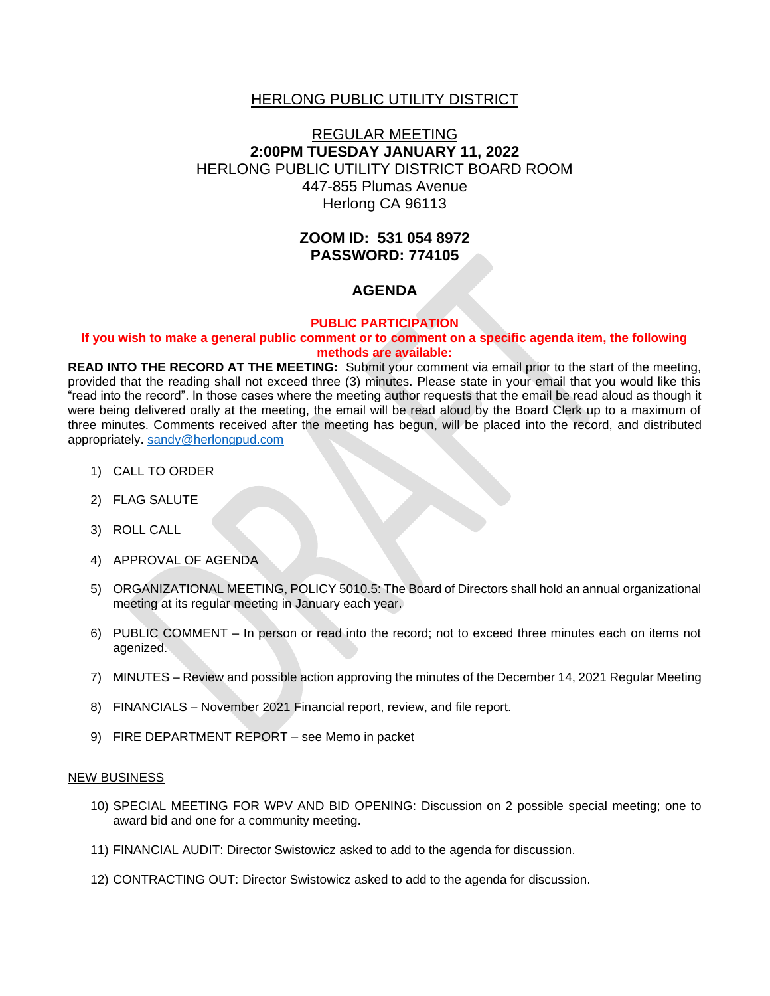### HERLONG PUBLIC UTILITY DISTRICT

# REGULAR MEETING **2:00PM TUESDAY JANUARY 11, 2022** HERLONG PUBLIC UTILITY DISTRICT BOARD ROOM 447-855 Plumas Avenue Herlong CA 96113

# **ZOOM ID: 531 054 8972 PASSWORD: 774105**

## **AGENDA**

#### **PUBLIC PARTICIPATION**

#### **If you wish to make a general public comment or to comment on a specific agenda item, the following methods are available:**

**READ INTO THE RECORD AT THE MEETING:** Submit your comment via email prior to the start of the meeting, provided that the reading shall not exceed three (3) minutes. Please state in your email that you would like this "read into the record". In those cases where the meeting author requests that the email be read aloud as though it were being delivered orally at the meeting, the email will be read aloud by the Board Clerk up to a maximum of three minutes. Comments received after the meeting has begun, will be placed into the record, and distributed appropriately. [sandy@herlongpud.com](mailto:sandy@herlongpud.com)

- 1) CALL TO ORDER
- 2) FLAG SALUTE
- 3) ROLL CALL
- 4) APPROVAL OF AGENDA
- 5) ORGANIZATIONAL MEETING, POLICY 5010.5: The Board of Directors shall hold an annual organizational meeting at its regular meeting in January each year.
- 6) PUBLIC COMMENT In person or read into the record; not to exceed three minutes each on items not agenized.
- 7) MINUTES Review and possible action approving the minutes of the December 14, 2021 Regular Meeting
- 8) FINANCIALS November 2021 Financial report, review, and file report.
- 9) FIRE DEPARTMENT REPORT see Memo in packet

#### NEW BUSINESS

- 10) SPECIAL MEETING FOR WPV AND BID OPENING: Discussion on 2 possible special meeting; one to award bid and one for a community meeting.
- 11) FINANCIAL AUDIT: Director Swistowicz asked to add to the agenda for discussion.
- 12) CONTRACTING OUT: Director Swistowicz asked to add to the agenda for discussion.